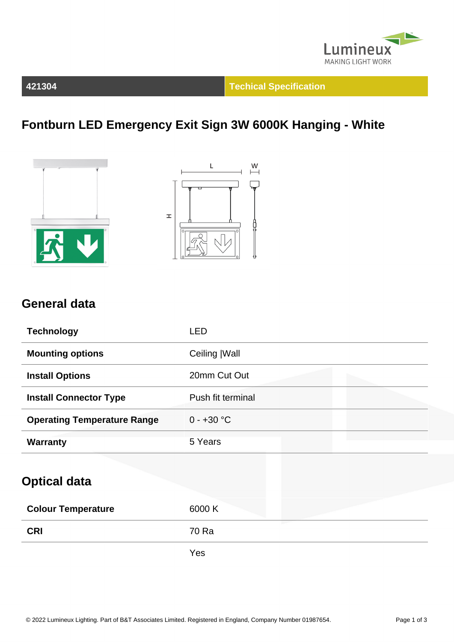

### **421304 Techical Specification**

## **Fontburn LED Emergency Exit Sign 3W 6000K Hanging - White**





## **General data**

| <b>Technology</b>                  | <b>LED</b>        |
|------------------------------------|-------------------|
| <b>Mounting options</b>            | Ceiling   Wall    |
| <b>Install Options</b>             | 20mm Cut Out      |
| <b>Install Connector Type</b>      | Push fit terminal |
| <b>Operating Temperature Range</b> | $0 - +30 °C$      |
| <b>Warranty</b>                    | 5 Years           |
| <b>Optical data</b>                |                   |
| <b>Colour Temperature</b>          | 6000 K            |
| <b>CRI</b>                         | 70 Ra             |

Yes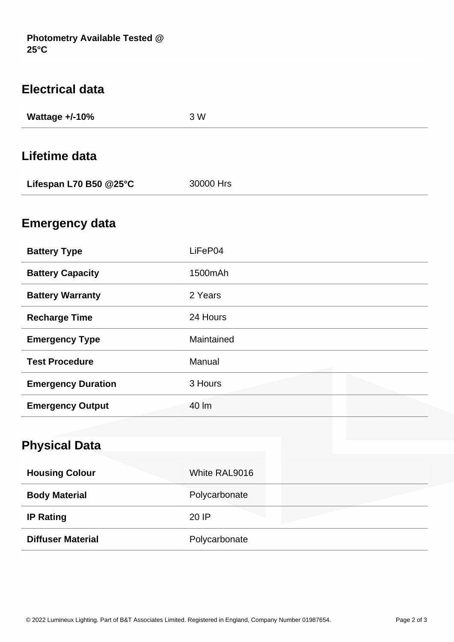| <b>Electrical data</b>    |            |
|---------------------------|------------|
| Wattage +/-10%            | 3 W        |
|                           |            |
| Lifetime data             |            |
| Lifespan L70 B50 @25°C    | 30000 Hrs  |
|                           |            |
| <b>Emergency data</b>     |            |
| <b>Battery Type</b>       | LiFeP04    |
| <b>Battery Capacity</b>   | 1500mAh    |
| <b>Battery Warranty</b>   | 2 Years    |
| <b>Recharge Time</b>      | 24 Hours   |
| <b>Emergency Type</b>     | Maintained |
| <b>Test Procedure</b>     | Manual     |
| <b>Emergency Duration</b> | 3 Hours    |
| <b>Emergency Output</b>   | 40 lm      |
|                           |            |
| <b>Physical Data</b>      |            |
|                           |            |

**Housing Colour White RAL9016** 

**Body Material Body Material Polycarbonate** 

**Diffuser Material Material Research Polycarbonate** 

**IP Rating 20 IP**